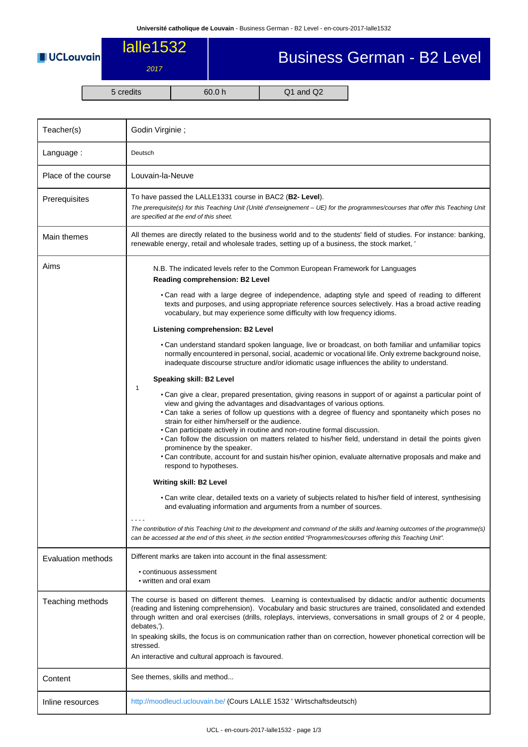**UCLouvain** 

## Business German - B2 Level

lalle1532

2017

5 credits 60.0 h Q1 and Q2

| Teacher(s)          | Godin Virginie;                                                                                                                                                                                                                                                                                                                                                                                                                                                                                                                                                                                                                                                                                       |  |  |  |  |
|---------------------|-------------------------------------------------------------------------------------------------------------------------------------------------------------------------------------------------------------------------------------------------------------------------------------------------------------------------------------------------------------------------------------------------------------------------------------------------------------------------------------------------------------------------------------------------------------------------------------------------------------------------------------------------------------------------------------------------------|--|--|--|--|
| Language:           | Deutsch                                                                                                                                                                                                                                                                                                                                                                                                                                                                                                                                                                                                                                                                                               |  |  |  |  |
| Place of the course | Louvain-la-Neuve                                                                                                                                                                                                                                                                                                                                                                                                                                                                                                                                                                                                                                                                                      |  |  |  |  |
| Prerequisites       | To have passed the LALLE1331 course in BAC2 (B2- Level).<br>The prerequisite(s) for this Teaching Unit (Unité d'enseignement - UE) for the programmes/courses that offer this Teaching Unit<br>are specified at the end of this sheet.                                                                                                                                                                                                                                                                                                                                                                                                                                                                |  |  |  |  |
| Main themes         | All themes are directly related to the business world and to the students' field of studies. For instance: banking,<br>renewable energy, retail and wholesale trades, setting up of a business, the stock market, '                                                                                                                                                                                                                                                                                                                                                                                                                                                                                   |  |  |  |  |
| Aims                | N.B. The indicated levels refer to the Common European Framework for Languages<br>Reading comprehension: B2 Level<br>• Can read with a large degree of independence, adapting style and speed of reading to different<br>texts and purposes, and using appropriate reference sources selectively. Has a broad active reading<br>vocabulary, but may experience some difficulty with low frequency idioms.                                                                                                                                                                                                                                                                                             |  |  |  |  |
|                     | Listening comprehension: B2 Level<br>. Can understand standard spoken language, live or broadcast, on both familiar and unfamiliar topics<br>normally encountered in personal, social, academic or vocational life. Only extreme background noise,                                                                                                                                                                                                                                                                                                                                                                                                                                                    |  |  |  |  |
|                     | inadequate discourse structure and/or idiomatic usage influences the ability to understand.<br>Speaking skill: B2 Level                                                                                                                                                                                                                                                                                                                                                                                                                                                                                                                                                                               |  |  |  |  |
|                     | 1<br>• Can give a clear, prepared presentation, giving reasons in support of or against a particular point of<br>view and giving the advantages and disadvantages of various options.<br>• Can take a series of follow up questions with a degree of fluency and spontaneity which poses no<br>strain for either him/herself or the audience.<br>. Can participate actively in routine and non-routine formal discussion.<br>. Can follow the discussion on matters related to his/her field, understand in detail the points given<br>prominence by the speaker.<br>. Can contribute, account for and sustain his/her opinion, evaluate alternative proposals and make and<br>respond to hypotheses. |  |  |  |  |
|                     | <b>Writing skill: B2 Level</b>                                                                                                                                                                                                                                                                                                                                                                                                                                                                                                                                                                                                                                                                        |  |  |  |  |
|                     | • Can write clear, detailed texts on a variety of subjects related to his/her field of interest, synthesising<br>and evaluating information and arguments from a number of sources.                                                                                                                                                                                                                                                                                                                                                                                                                                                                                                                   |  |  |  |  |
|                     | $- - - -$<br>The contribution of this Teaching Unit to the development and command of the skills and learning outcomes of the programme(s)<br>can be accessed at the end of this sheet, in the section entitled "Programmes/courses offering this Teaching Unit".                                                                                                                                                                                                                                                                                                                                                                                                                                     |  |  |  |  |
| Evaluation methods  | Different marks are taken into account in the final assessment:<br>• continuous assessment<br>• written and oral exam                                                                                                                                                                                                                                                                                                                                                                                                                                                                                                                                                                                 |  |  |  |  |
| Teaching methods    | The course is based on different themes. Learning is contextualised by didactic and/or authentic documents<br>(reading and listening comprehension). Vocabulary and basic structures are trained, consolidated and extended<br>through written and oral exercises (drills, roleplays, interviews, conversations in small groups of 2 or 4 people,<br>debates,').<br>In speaking skills, the focus is on communication rather than on correction, however phonetical correction will be<br>stressed.<br>An interactive and cultural approach is favoured.                                                                                                                                              |  |  |  |  |
| Content             | See themes, skills and method                                                                                                                                                                                                                                                                                                                                                                                                                                                                                                                                                                                                                                                                         |  |  |  |  |
| Inline resources    | http://moodleucl.uclouvain.be/ (Cours LALLE 1532 ' Wirtschaftsdeutsch)                                                                                                                                                                                                                                                                                                                                                                                                                                                                                                                                                                                                                                |  |  |  |  |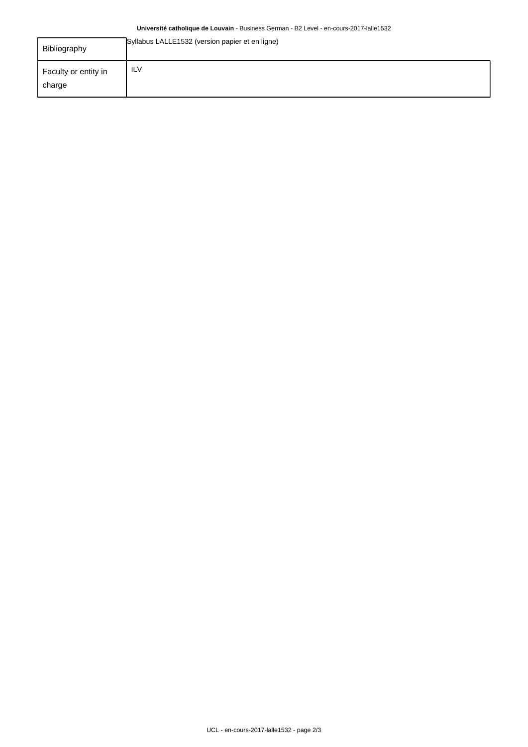## **Université catholique de Louvain** - Business German - B2 Level - en-cours-2017-lalle1532

| Bibliography                   | Syllabus LALLE1532 (version papier et en ligne) |
|--------------------------------|-------------------------------------------------|
| Faculty or entity in<br>charge | <b>ILV</b>                                      |